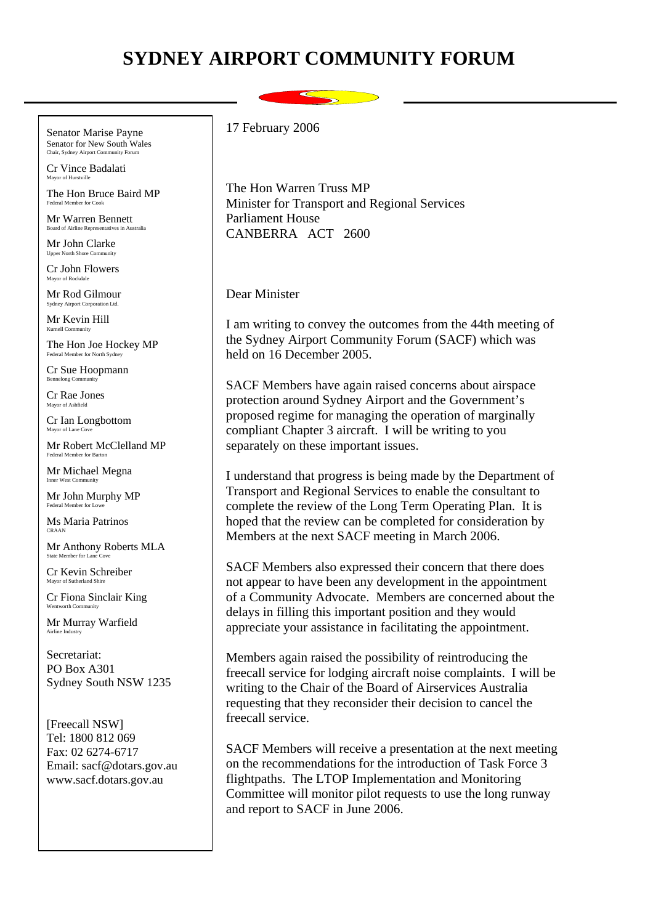## **SYDNEY AIRPORT COMMUNITY FORUM**

Senator Marise Payne Senator for New South Wales

Cr Vince Badalati Mayor of Hurstville

The Hon Bruce Baird MP Federal Member for Cook

Mr Warren Bennett **Board of Airline Representatives in .** 

Mr John Clarke Upper North Shore Com

Cr John Flowers Mayor of Rockdale

Mr Rod Gilmour Sydney Airport Corporation Ltd.

Mr Kevin Hill Kurnell Community

The Hon Joe Hockey MP Federal Member for North Sydney

Cr Sue Hoopmann Bennelong Community

Cr Rae Jones Mayor of Ashfield

Cr Ian Longbottom Mayor of Lane  $C$ 

Mr Robert McClelland MP Federal Member for Barton

Mr Michael Megna Inner West Community

Mr John Murphy MP

Ms Maria Patrinos CRAAN

Mr Anthony Roberts MLA State Member for Lane C

Cr Kevin Schreiber Mayor of Sutherland Shire

Cr Fiona Sinclair King

Mr Murray Warfield Airline Industry

Secretariat: PO Box A301 Sydney South NSW 1235

[Freecall NSW] Tel: 1800 812 069 Fax: 02 6274-6717 Email: sacf@dotars.gov.au www.sacf.dotars.gov.au

17 February 2006

The Hon Warren Truss MP Minister for Transport and Regional Services Parliament House CANBERRA ACT 2600

Dear Minister

I am writing to convey the outcomes from the 44th meeting of the Sydney Airport Community Forum (SACF) which was held on 16 December 2005.

SACF Members have again raised concerns about airspace protection around Sydney Airport and the Government's proposed regime for managing the operation of marginally compliant Chapter 3 aircraft. I will be writing to you separately on these important issues.

I understand that progress is being made by the Department of Transport and Regional Services to enable the consultant to complete the review of the Long Term Operating Plan. It is hoped that the review can be completed for consideration by Members at the next SACF meeting in March 2006.

SACF Members also expressed their concern that there does not appear to have been any development in the appointment of a Community Advocate. Members are concerned about the delays in filling this important position and they would appreciate your assistance in facilitating the appointment.

Members again raised the possibility of reintroducing the freecall service for lodging aircraft noise complaints. I will be writing to the Chair of the Board of Airservices Australia requesting that they reconsider their decision to cancel the freecall service.

SACF Members will receive a presentation at the next meeting on the recommendations for the introduction of Task Force 3 flightpaths. The LTOP Implementation and Monitoring Committee will monitor pilot requests to use the long runway and report to SACF in June 2006.